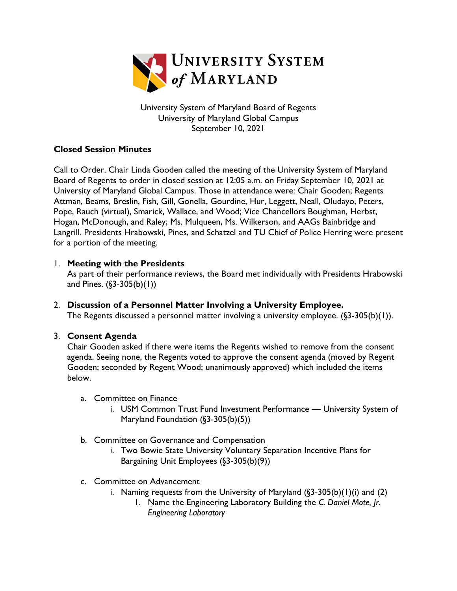

University System of Maryland Board of Regents University of Maryland Global Campus September 10, 2021

## **Closed Session Minutes**

Call to Order. Chair Linda Gooden called the meeting of the University System of Maryland Board of Regents to order in closed session at 12:05 a.m. on Friday September 10, 2021 at University of Maryland Global Campus. Those in attendance were: Chair Gooden; Regents Attman, Beams, Breslin, Fish, Gill, Gonella, Gourdine, Hur, Leggett, Neall, Oludayo, Peters, Pope, Rauch (virtual), Smarick, Wallace, and Wood; Vice Chancellors Boughman, Herbst, Hogan, McDonough, and Raley; Ms. Mulqueen, Ms. Wilkerson, and AAGs Bainbridge and Langrill. Presidents Hrabowski, Pines, and Schatzel and TU Chief of Police Herring were present for a portion of the meeting.

### 1. **Meeting with the Presidents**

As part of their performance reviews, the Board met individually with Presidents Hrabowski and Pines.  $(\S3 - 305(b)(1))$ 

2. **Discussion of a Personnel Matter Involving a University Employee.**  The Regents discussed a personnel matter involving a university employee. (§3-305(b)(1)).

### 3. **Consent Agenda**

Chair Gooden asked if there were items the Regents wished to remove from the consent agenda. Seeing none, the Regents voted to approve the consent agenda (moved by Regent Gooden; seconded by Regent Wood; unanimously approved) which included the items below.

- a. Committee on Finance
	- i. USM Common Trust Fund Investment Performance University System of Maryland Foundation (§3-305(b)(5))
- b. Committee on Governance and Compensation
	- i. Two Bowie State University Voluntary Separation Incentive Plans for Bargaining Unit Employees (§3-305(b)(9))
- c. Committee on Advancement
	- i. Naming requests from the University of Maryland  $(\S 3 305(b)(1)(i)$  and  $(2)$ 
		- 1. Name the Engineering Laboratory Building the *C. Daniel Mote, Jr. Engineering Laboratory*